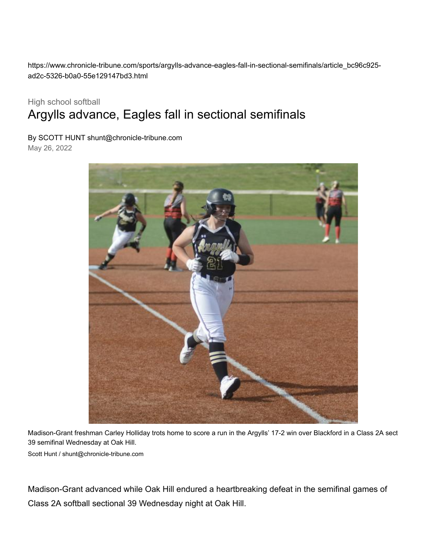https://www.chronicle-tribune.com/sports/argylls-advance-eagles-fall-in-sectional-semifinals/article\_bc96c925 ad2c-5326-b0a0-55e129147bd3.html

## High school softball Argylls advance, Eagles fall in sectional semifinals

By SCOTT HUNT [shunt@chronicle-tribune.com](https://www.chronicle-tribune.com/users/profile/Scott%20Hunt)

May 26, 2022



Madison-Grant freshman Carley Holliday trots home to score a run in the Argylls' 17-2 win over Blackford in a Class 2A sect 39 semifinal Wednesday at Oak Hill.

[Scott Hunt / shunt@chronicle-tribune.com](https://www.chronicle-tribune.com/users/profile/Scott%20Hunt)

Madison-Grant advanced while Oak Hill endured a heartbreaking defeat in the semifinal games of Class 2A softball sectional 39 Wednesday night at Oak Hill.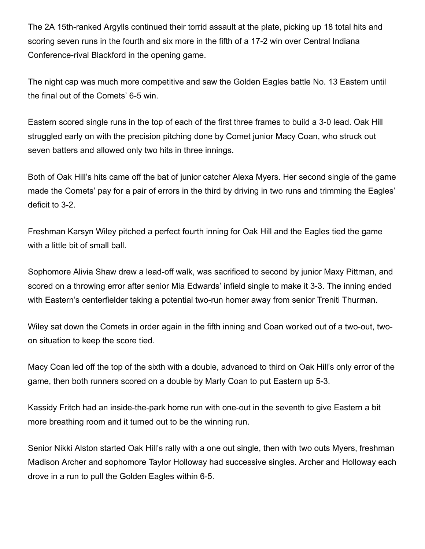The 2A 15th-ranked Argylls continued their torrid assault at the plate, picking up 18 total hits and scoring seven runs in the fourth and six more in the fifth of a 17-2 win over Central Indiana Conference-rival Blackford in the opening game.

The night cap was much more competitive and saw the Golden Eagles battle No. 13 Eastern until the final out of the Comets' 6-5 win.

Eastern scored single runs in the top of each of the first three frames to build a 3-0 lead. Oak Hill struggled early on with the precision pitching done by Comet junior Macy Coan, who struck out seven batters and allowed only two hits in three innings.

Both of Oak Hill's hits came off the bat of junior catcher Alexa Myers. Her second single of the game made the Comets' pay for a pair of errors in the third by driving in two runs and trimming the Eagles' deficit to 3-2.

Freshman Karsyn Wiley pitched a perfect fourth inning for Oak Hill and the Eagles tied the game with a little bit of small ball.

Sophomore Alivia Shaw drew a lead-off walk, was sacrificed to second by junior Maxy Pittman, and scored on a throwing error after senior Mia Edwards' infield single to make it 3-3. The inning ended with Eastern's centerfielder taking a potential two-run homer away from senior Treniti Thurman.

Wiley sat down the Comets in order again in the fifth inning and Coan worked out of a two-out, twoon situation to keep the score tied.

Macy Coan led off the top of the sixth with a double, advanced to third on Oak Hill's only error of the game, then both runners scored on a double by Marly Coan to put Eastern up 5-3.

Kassidy Fritch had an inside-the-park home run with one-out in the seventh to give Eastern a bit more breathing room and it turned out to be the winning run.

Senior Nikki Alston started Oak Hill's rally with a one out single, then with two outs Myers, freshman Madison Archer and sophomore Taylor Holloway had successive singles. Archer and Holloway each drove in a run to pull the Golden Eagles within 6-5.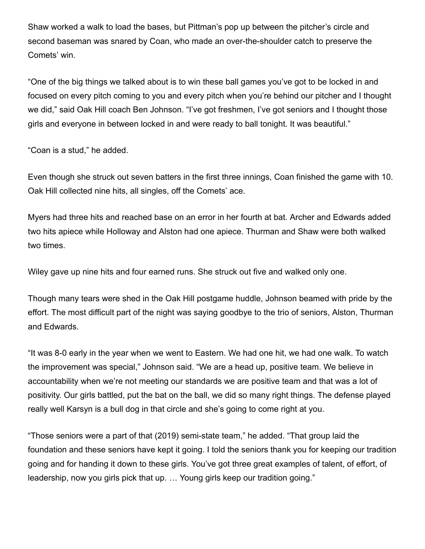Shaw worked a walk to load the bases, but Pittman's pop up between the pitcher's circle and second baseman was snared by Coan, who made an over-the-shoulder catch to preserve the Comets' win.

"One of the big things we talked about is to win these ball games you've got to be locked in and focused on every pitch coming to you and every pitch when you're behind our pitcher and I thought we did," said Oak Hill coach Ben Johnson. "I've got freshmen, I've got seniors and I thought those girls and everyone in between locked in and were ready to ball tonight. It was beautiful."

"Coan is a stud," he added.

Even though she struck out seven batters in the first three innings, Coan finished the game with 10. Oak Hill collected nine hits, all singles, off the Comets' ace.

Myers had three hits and reached base on an error in her fourth at bat. Archer and Edwards added two hits apiece while Holloway and Alston had one apiece. Thurman and Shaw were both walked two times.

Wiley gave up nine hits and four earned runs. She struck out five and walked only one.

Though many tears were shed in the Oak Hill postgame huddle, Johnson beamed with pride by the effort. The most difficult part of the night was saying goodbye to the trio of seniors, Alston, Thurman and Edwards.

"It was 8-0 early in the year when we went to Eastern. We had one hit, we had one walk. To watch the improvement was special," Johnson said. "We are a head up, positive team. We believe in accountability when we're not meeting our standards we are positive team and that was a lot of positivity. Our girls battled, put the bat on the ball, we did so many right things. The defense played really well Karsyn is a bull dog in that circle and she's going to come right at you.

"Those seniors were a part of that (2019) semi-state team," he added. "That group laid the foundation and these seniors have kept it going. I told the seniors thank you for keeping our tradition going and for handing it down to these girls. You've got three great examples of talent, of effort, of leadership, now you girls pick that up. … Young girls keep our tradition going."